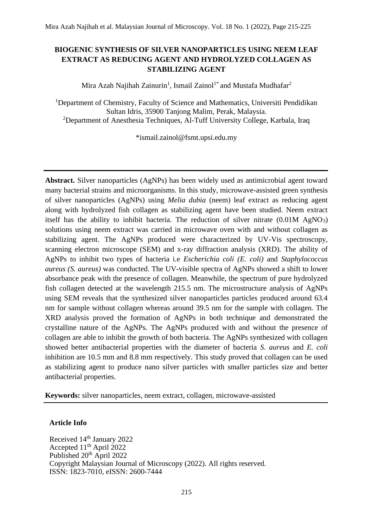# **BIOGENIC SYNTHESIS OF SILVER NANOPARTICLES USING NEEM LEAF EXTRACT AS REDUCING AGENT AND HYDROLYZED COLLAGEN AS STABILIZING AGENT**

Mira Azah Najihah Zainurin<sup>1</sup>, Ismail Zainol<sup>1\*</sup> and Mustafa Mudhafar<sup>2</sup>

<sup>1</sup>Department of Chemistry, Faculty of Science and Mathematics, Universiti Pendidikan Sultan Idris, 35900 Tanjong Malim, Perak, Malaysia. <sup>2</sup>Department of Anesthesia Techniques, Al-Tuff University College, Karbala, Iraq

[\\*ismail.zainol@fsmt.upsi.edu.my](mailto:ismail.zainol@fsmt.upsi.edu.my)

**Abstract.** Silver nanoparticles (AgNPs) has been widely used as antimicrobial agent toward many bacterial strains and microorganisms. In this study, microwave-assisted green synthesis of silver nanoparticles (AgNPs) using *Melia dubia* (neem) leaf extract as reducing agent along with hydrolyzed fish collagen as stabilizing agent have been studied. Neem extract itself has the ability to inhibit bacteria. The reduction of silver nitrate  $(0.01M \text{ AgNO}_3)$ solutions using neem extract was carried in microwave oven with and without collagen as stabilizing agent. The AgNPs produced were characterized by UV-Vis spectroscopy, scanning electron microscope (SEM) and x-ray diffraction analysis (XRD). The ability of AgNPs to inhibit two types of bacteria i.e *Escherichia coli (E. coli)* and *Staphylococcus aureus (S. aureus)* was conducted. The UV-visible spectra of AgNPs showed a shift to lower absorbance peak with the presence of collagen. Meanwhile, the spectrum of pure hydrolyzed fish collagen detected at the wavelength 215.5 nm. The microstructure analysis of AgNPs using SEM reveals that the synthesized silver nanoparticles particles produced around 63.4 nm for sample without collagen whereas around 39.5 nm for the sample with collagen. The XRD analysis proved the formation of AgNPs in both technique and demonstrated the crystalline nature of the AgNPs. The AgNPs produced with and without the presence of collagen are able to inhibit the growth of both bacteria. The AgNPs synthesized with collagen showed better antibacterial properties with the diameter of bacteria *S. aureus* and *E. coli* inhibition are 10.5 mm and 8.8 mm respectively. This study proved that collagen can be used as stabilizing agent to produce nano silver particles with smaller particles size and better antibacterial properties.

**Keywords:** silver nanoparticles, neem extract, collagen, microwave-assisted

## **Article Info**

Received 14<sup>th</sup> January 2022 Accepted 11<sup>th</sup> April 2022 Published 20<sup>th</sup> April 2022 Copyright Malaysian Journal of Microscopy (2022). All rights reserved. ISSN: 1823-7010, eISSN: 2600-7444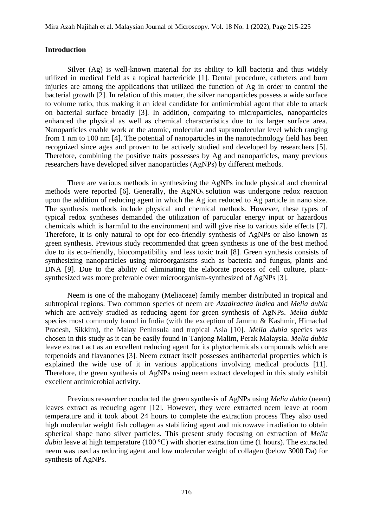#### **Introduction**

Silver (Ag) is well-known material for its ability to kill bacteria and thus widely utilized in medical field as a topical bactericide [1]. Dental procedure, catheters and burn injuries are among the applications that utilized the function of Ag in order to control the bacterial growth [2]. In relation of this matter, the silver nanoparticles possess a wide surface to volume ratio, thus making it an ideal candidate for antimicrobial agent that able to attack on bacterial surface broadly [3]. In addition, comparing to microparticles, nanoparticles enhanced the physical as well as chemical characteristics due to its larger surface area. Nanoparticles enable work at the atomic, molecular and supramolecular level which ranging from 1 nm to 100 nm [4]. The potential of nanoparticles in the nanotechnology field has been recognized since ages and proven to be actively studied and developed by researchers [5]. Therefore, combining the positive traits possesses by Ag and nanoparticles, many previous researchers have developed silver nanoparticles (AgNPs) by different methods.

There are various methods in synthesizing the AgNPs include physical and chemical methods were reported  $[6]$ . Generally, the AgNO<sub>3</sub> solution was undergone redox reaction upon the addition of reducing agent in which the Ag ion reduced to Ag particle in nano size. The synthesis methods include physical and chemical methods. However, these types of typical redox syntheses demanded the utilization of particular energy input or hazardous chemicals which is harmful to the environment and will give rise to various side effects [7]. Therefore, it is only natural to opt for eco-friendly synthesis of AgNPs or also known as green synthesis. Previous study recommended that green synthesis is one of the best method due to its eco-friendly, biocompatibility and less toxic trait [8]. Green synthesis consists of synthesizing nanoparticles using microorganisms such as bacteria and fungus, plants and DNA [9]. Due to the ability of eliminating the elaborate process of cell culture, plantsynthesized was more preferable over microorganism-synthesized of AgNPs [3].

Neem is one of the mahogany (Meliaceae) family member distributed in tropical and subtropical regions. Two common species of neem are *Azadirachta indica* and *Melia dubia* which are actively studied as reducing agent for green synthesis of AgNPs. *Melia dubia* species most commonly found in India (with the exception of Jammu & Kashmir, Himachal Pradesh, Sikkim), the Malay Peninsula and tropical Asia [10]. *Melia dubia* species was chosen in this study as it can be easily found in Tanjong Malim, Perak Malaysia. *Melia dubia* leave extract act as an excellent reducing agent for its phytochemicals compounds which are terpenoids and flavanones [3]. Neem extract itself possesses antibacterial properties which is explained the wide use of it in various applications involving medical products [11]. Therefore, the green synthesis of AgNPs using neem extract developed in this study exhibit excellent antimicrobial activity.

Previous researcher conducted the green synthesis of AgNPs using *Melia dubia* (neem) leaves extract as reducing agent [12]. However, they were extracted neem leave at room temperature and it took about 24 hours to complete the extraction process They also used high molecular weight fish collagen as stabilizing agent and microwave irradiation to obtain spherical shape nano silver particles. This present study focusing on extraction of *Melia dubia* leave at high temperature (100 °C) with shorter extraction time (1 hours). The extracted neem was used as reducing agent and low molecular weight of collagen (below 3000 Da) for synthesis of AgNPs.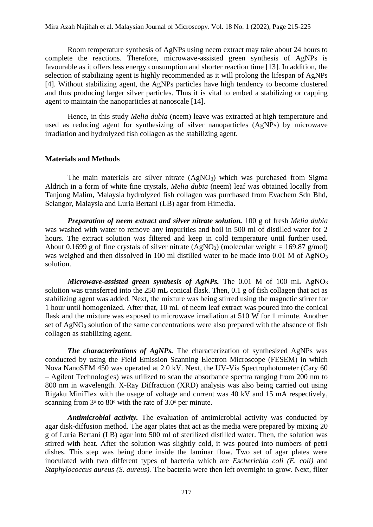Room temperature synthesis of AgNPs using neem extract may take about 24 hours to complete the reactions. Therefore, microwave-assisted green synthesis of AgNPs is favourable as it offers less energy consumption and shorter reaction time [13]. In addition, the selection of stabilizing agent is highly recommended as it will prolong the lifespan of AgNPs [4]. Without stabilizing agent, the AgNPs particles have high tendency to become clustered and thus producing larger silver particles. Thus it is vital to embed a stabilizing or capping agent to maintain the nanoparticles at nanoscale [14].

Hence, in this study *Melia dubia* (neem) leave was extracted at high temperature and used as reducing agent for synthesizing of silver nanoparticles (AgNPs) by microwave irradiation and hydrolyzed fish collagen as the stabilizing agent.

#### **Materials and Methods**

The main materials are silver nitrate  $(AgNO<sub>3</sub>)$  which was purchased from Sigma Aldrich in a form of white fine crystals, *Melia dubia* (neem) leaf was obtained locally from Tanjong Malim, Malaysia hydrolyzed fish collagen was purchased from Evachem Sdn Bhd, Selangor, Malaysia and Luria Bertani (LB) agar from Himedia.

*Preparation of neem extract and silver nitrate solution.* 100 g of fresh *Melia dubia* was washed with water to remove any impurities and boil in 500 ml of distilled water for 2 hours. The extract solution was filtered and keep in cold temperature until further used. About 0.1699 g of fine crystals of silver nitrate  $(AgNO<sub>3</sub>)$  (molecular weight = 169.87 g/mol) was weighed and then dissolved in 100 ml distilled water to be made into 0.01 M of AgNO<sub>3</sub> solution.

*Microwave-assisted green synthesis of AgNPs.* The 0.01 M of 100 mL AgNO<sub>3</sub> solution was transferred into the 250 mL conical flask. Then, 0.1 g of fish collagen that act as stabilizing agent was added. Next, the mixture was being stirred using the magnetic stirrer for 1 hour until homogenized. After that, 10 mL of neem leaf extract was poured into the conical flask and the mixture was exposed to microwave irradiation at 510 W for 1 minute. Another set of AgNO<sub>3</sub> solution of the same concentrations were also prepared with the absence of fish collagen as stabilizing agent.

*The characterizations of AgNPs.* The characterization of synthesized AgNPs was conducted by using the Field Emission Scanning Electron Microscope (FESEM) in which Nova NanoSEM 450 was operated at 2.0 kV. Next, the UV-Vis Spectrophotometer (Cary 60 – Agilent Technologies) was utilized to scan the absorbance spectra ranging from 200 nm to 800 nm in wavelength. X-Ray Diffraction (XRD) analysis was also being carried out using Rigaku MiniFlex with the usage of voltage and current was 40 kV and 15 mA respectively, scanning from  $3^\circ$  to  $80^\circ$  with the rate of  $3.0^\circ$  per minute.

*Antimicrobial activity.* The evaluation of antimicrobial activity was conducted by agar disk-diffusion method. The agar plates that act as the media were prepared by mixing 20 g of Luria Bertani (LB) agar into 500 ml of sterilized distilled water. Then, the solution was stirred with heat. After the solution was slightly cold, it was poured into numbers of petri dishes. This step was being done inside the laminar flow. Two set of agar plates were inoculated with two different types of bacteria which are *Escherichia coli (E. coli)* and *Staphylococcus aureus (S. aureus).* The bacteria were then left overnight to grow. Next, filter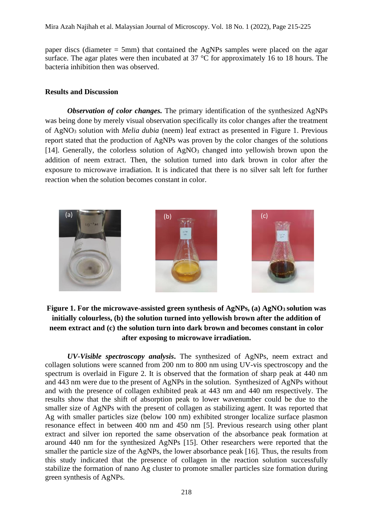paper discs (diameter = 5mm) that contained the AgNPs samples were placed on the agar surface. The agar plates were then incubated at 37 °C for approximately 16 to 18 hours. The bacteria inhibition then was observed.

#### **Results and Discussion**

*Observation of color changes.* The primary identification of the synthesized AgNPs was being done by merely visual observation specifically its color changes after the treatment of AgNO<sup>3</sup> solution with *Melia dubia* (neem) leaf extract as presented in Figure 1. Previous report stated that the production of AgNPs was proven by the color changes of the solutions [14]. Generally, the colorless solution of  $AgNO<sub>3</sub>$  changed into yellowish brown upon the addition of neem extract. Then, the solution turned into dark brown in color after the exposure to microwave irradiation. It is indicated that there is no silver salt left for further reaction when the solution becomes constant in color.



## **Figure 1. For the microwave-assisted green synthesis of AgNPs, (a) AgNO3 solution was initially colourless, (b) the solution turned into yellowish brown after the addition of neem extract and (c) the solution turn into dark brown and becomes constant in color after exposing to microwave irradiation.**

*UV-Visible spectroscopy analysis***.** The synthesized of AgNPs, neem extract and collagen solutions were scanned from 200 nm to 800 nm using UV-vis spectroscopy and the spectrum is overlaid in Figure 2. It is observed that the formation of sharp peak at 440 nm and 443 nm were due to the present of AgNPs in the solution. Synthesized of AgNPs without and with the presence of collagen exhibited peak at 443 nm and 440 nm respectively. The results show that the shift of absorption peak to lower wavenumber could be due to the smaller size of AgNPs with the present of collagen as stabilizing agent. It was reported that Ag with smaller particles size (below 100 nm) exhibited stronger localize surface plasmon resonance effect in between 400 nm and 450 nm [5]. Previous research using other plant extract and silver ion reported the same observation of the absorbance peak formation at around 440 nm for the synthesized AgNPs [15]. Other researchers were reported that the smaller the particle size of the AgNPs, the lower absorbance peak [16]. Thus, the results from this study indicated that the presence of collagen in the reaction solution successfully stabilize the formation of nano Ag cluster to promote smaller particles size formation during green synthesis of AgNPs.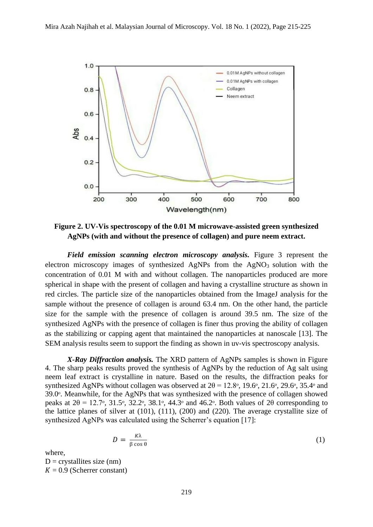

**Figure 2. UV-Vis spectroscopy of the 0.01 M microwave-assisted green synthesized AgNPs (with and without the presence of collagen) and pure neem extract.**

*Field emission scanning electron microscopy analysis.* Figure 3 represent the electron microscopy images of synthesized AgNPs from the  $AgNO<sub>3</sub>$  solution with the concentration of 0.01 M with and without collagen. The nanoparticles produced are more spherical in shape with the present of collagen and having a crystalline structure as shown in red circles. The particle size of the nanoparticles obtained from the ImageJ analysis for the sample without the presence of collagen is around 63.4 nm. On the other hand, the particle size for the sample with the presence of collagen is around 39.5 nm. The size of the synthesized AgNPs with the presence of collagen is finer thus proving the ability of collagen as the stabilizing or capping agent that maintained the nanoparticles at nanoscale [13]. The SEM analysis results seem to support the finding as shown in uv-vis spectroscopy analysis.

*X-Ray Diffraction analysis.* The XRD pattern of AgNPs samples is shown in Figure 4. The sharp peaks results proved the synthesis of AgNPs by the reduction of Ag salt using neem leaf extract is crystalline in nature. Based on the results, the diffraction peaks for synthesized AgNPs without collagen was observed at  $2\theta = 12.8\degree$ , 19.6 $\degree$ , 21.6 $\degree$ , 29.6 $\degree$ , 35.4 $\degree$  and 39.0ᵒ. Meanwhile, for the AgNPs that was synthesized with the presence of collagen showed peaks at  $2\theta = 12.7\degree$ , 31.5 $\degree$ , 32.2 $\degree$ , 38.1 $\degree$ , 44.3 $\degree$  and 46.2 $\degree$ . Both values of  $2\theta$  corresponding to the lattice planes of silver at (101), (111), (200) and (220). The average crystallite size of synthesized AgNPs was calculated using the Scherrer's equation [17]:

$$
D = \frac{\kappa \lambda}{\beta \cos \theta} \tag{1}
$$

where,

 $D =$  crystallites size (nm)  $K = 0.9$  (Scherrer constant)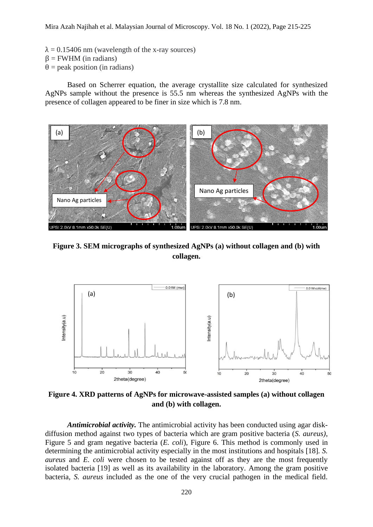- $\lambda = 0.15406$  nm (wavelength of the x-ray sources)
- $β = FWHM$  (in radians)
- $\theta$  = peak position (in radians)

Based on Scherrer equation, the average crystallite size calculated for synthesized AgNPs sample without the presence is 55.5 nm whereas the synthesized AgNPs with the presence of collagen appeared to be finer in size which is 7.8 nm.



**Figure 3. SEM micrographs of synthesized AgNPs (a) without collagen and (b) with collagen.**



**Figure 4. XRD patterns of AgNPs for microwave-assisted samples (a) without collagen and (b) with collagen.**

*Antimicrobial activity.* The antimicrobial activity has been conducted using agar diskdiffusion method against two types of bacteria which are gram positive bacteria (*S. aureus)*, Figure 5 and gram negative bacteria (*E. coli*), Figure 6. This method is commonly used in determining the antimicrobial activity especially in the most institutions and hospitals [18]. *S. aureus* and *E. coli* were chosen to be tested against off as they are the most frequently isolated bacteria [19] as well as its availability in the laboratory. Among the gram positive bacteria, *S. aureus* included as the one of the very crucial pathogen in the medical field.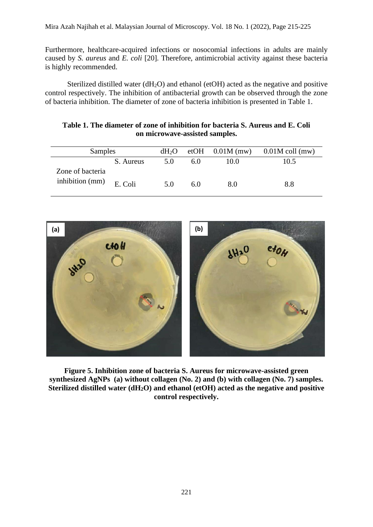Furthermore, healthcare-acquired infections or nosocomial infections in adults are mainly caused by *S. aureus* and *E. coli* [20]. Therefore, antimicrobial activity against these bacteria is highly recommended.

Sterilized distilled water  $(dH<sub>2</sub>O)$  and ethanol (etOH) acted as the negative and positive control respectively. The inhibition of antibacterial growth can be observed through the zone of bacteria inhibition. The diameter of zone of bacteria inhibition is presented in Table 1.

| Table 1. The diameter of zone of inhibition for bacteria S. Aureus and E. Coli |                                |  |  |
|--------------------------------------------------------------------------------|--------------------------------|--|--|
|                                                                                | on microwave-assisted samples. |  |  |

| Samples                   |           | $dH_2O$ |     |      | etOH $0.01M$ (mw) $0.01M$ coll (mw) |
|---------------------------|-----------|---------|-----|------|-------------------------------------|
|                           | S. Aureus | 5.0     | 6.0 | 10.0 | 10.5                                |
| Zone of bacteria          |           |         |     |      |                                     |
| inhibition (mm) $E.$ Coli |           | 5.0     | 6.0 | 8.0  | 8.8                                 |



**Figure 5. Inhibition zone of bacteria S. Aureus for microwave-assisted green synthesized AgNPs (a) without collagen (No. 2) and (b) with collagen (No. 7) samples. Sterilized distilled water (dH2O) and ethanol (etOH) acted as the negative and positive control respectively.**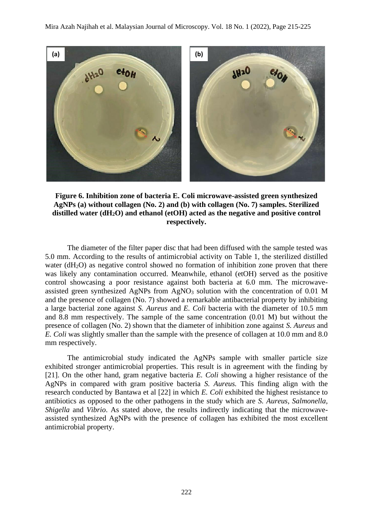

**Figure 6. Inhibition zone of bacteria E. Coli microwave-assisted green synthesized AgNPs (a) without collagen (No. 2) and (b) with collagen (No. 7) samples. Sterilized distilled water (dH2O) and ethanol (etOH) acted as the negative and positive control respectively.**

The diameter of the filter paper disc that had been diffused with the sample tested was 5.0 mm. According to the results of antimicrobial activity on Table 1, the sterilized distilled water ( $dH<sub>2</sub>O$ ) as negative control showed no formation of inhibition zone proven that there was likely any contamination occurred. Meanwhile, ethanol (etOH) served as the positive control showcasing a poor resistance against both bacteria at 6.0 mm. The microwaveassisted green synthesized AgNPs from AgNO<sub>3</sub> solution with the concentration of 0.01 M and the presence of collagen (No. 7) showed a remarkable antibacterial property by inhibiting a large bacterial zone against *S. Aureus* and *E. Coli* bacteria with the diameter of 10.5 mm and 8.8 mm respectively. The sample of the same concentration (0.01 M) but without the presence of collagen (No. 2) shown that the diameter of inhibition zone against *S. Aureus* and *E. Coli* was slightly smaller than the sample with the presence of collagen at 10.0 mm and 8.0 mm respectively.

The antimicrobial study indicated the AgNPs sample with smaller particle size exhibited stronger antimicrobial properties. This result is in agreement with the finding by [21]. On the other hand, gram negative bacteria *E. Coli* showing a higher resistance of the AgNPs in compared with gram positive bacteria *S. Aureus.* This finding align with the research conducted by Bantawa et al [22] in which *E. Coli* exhibited the highest resistance to antibiotics as opposed to the other pathogens in the study which are *S. Aureus, Salmonella, Shigella* and *Vibrio*. As stated above, the results indirectly indicating that the microwaveassisted synthesized AgNPs with the presence of collagen has exhibited the most excellent antimicrobial property.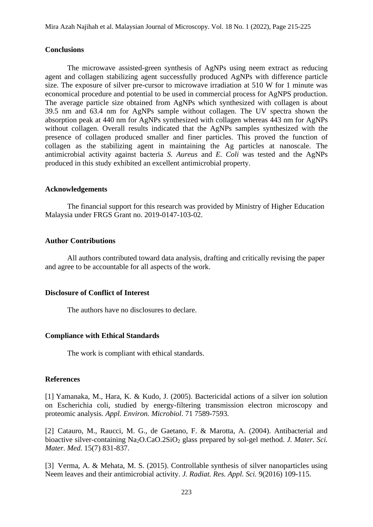#### **Conclusions**

The microwave assisted-green synthesis of AgNPs using neem extract as reducing agent and collagen stabilizing agent successfully produced AgNPs with difference particle size. The exposure of silver pre-cursor to microwave irradiation at 510 W for 1 minute was economical procedure and potential to be used in commercial process for AgNPS production. The average particle size obtained from AgNPs which synthesized with collagen is about 39.5 nm and 63.4 nm for AgNPs sample without collagen. The UV spectra shown the absorption peak at 440 nm for AgNPs synthesized with collagen whereas 443 nm for AgNPs without collagen. Overall results indicated that the AgNPs samples synthesized with the presence of collagen produced smaller and finer particles. This proved the function of collagen as the stabilizing agent in maintaining the Ag particles at nanoscale. The antimicrobial activity against bacteria *S. Aureus* and *E. Coli* was tested and the AgNPs produced in this study exhibited an excellent antimicrobial property.

#### **Acknowledgements**

The financial support for this research was provided by Ministry of Higher Education Malaysia under FRGS Grant no. 2019-0147-103-02.

## **Author Contributions**

All authors contributed toward data analysis, drafting and critically revising the paper and agree to be accountable for all aspects of the work.

#### **Disclosure of Conflict of Interest**

The authors have no disclosures to declare.

## **Compliance with Ethical Standards**

The work is compliant with ethical standards.

## **References**

[1] Yamanaka, M., Hara, K. & Kudo, J. (2005). Bactericidal actions of a silver ion solution on Escherichia coli, studied by energy-filtering transmission electron microscopy and proteomic analysis. *Appl. Environ. Microbiol*. 71 7589-7593.

[2] Catauro, M., Raucci, M. G., de Gaetano, F. & Marotta, A. (2004). Antibacterial and bioactive silver-containing Na<sub>2</sub>O.CaO.2SiO<sub>2</sub> glass prepared by sol-gel method. *J. Mater. Sci. Mater. Med.* 15(7) 831-837.

[3] Verma, A. & Mehata, M. S. (2015). Controllable synthesis of silver nanoparticles using Neem leaves and their antimicrobial activity. *J. Radiat. Res. Appl. Sci.* 9(2016) 109-115.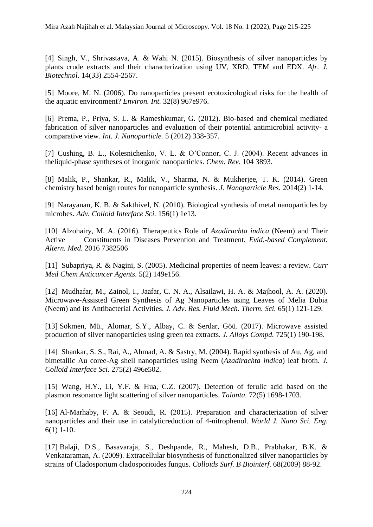[4] Singh, V., Shrivastava, A. & Wahi N. (2015). Biosynthesis of silver nanoparticles by plants crude extracts and their characterization using UV, XRD, TEM and EDX. *Afr. J. Biotechnol.* 14(33) 2554-2567.

[5] Moore, M. N. (2006). Do nanoparticles present ecotoxicological risks for the health of the aquatic environment? *Environ. Int.* 32(8) 967e976.

[6] Prema, P., Priya, S. L. & Rameshkumar, G. (2012). Bio-based and chemical mediated fabrication of silver nanoparticles and evaluation of their potential antimicrobial activity- a comparative view. *Int. J. Nanoparticle.* 5 (2012) 338-357.

[7] Cushing, B. L., Kolesnichenko, V. L. & O'Connor, C. J. (2004). Recent advances in theliquid-phase syntheses of inorganic nanoparticles. *Chem. Rev*. 104 3893.

[8] Malik, P., Shankar, R., Malik, V., Sharma, N. & Mukherjee, T. K. (2014). Green chemistry based benign routes for nanoparticle synthesis. *J. Nanoparticle Res*. 2014(2) 1-14.

[9] Narayanan, K. B. & Sakthivel, N. (2010). Biological synthesis of metal nanoparticles by microbes. *Adv. Colloid Interface Sci.* 156(1) 1e13.

[10] Alzohairy, M. A. (2016). Therapeutics Role of *Azadirachta indica* (Neem) and Their Active Constituents in Diseases Prevention and Treatment. *Evid.-based Complement. Altern. Med.* 2016 7382506

[11] Subapriya, R. & Nagini, S. (2005). Medicinal properties of neem leaves: a review. *Curr Med Chem Anticancer Agents.* 5(2) 149e156.

[12] Mudhafar, M., Zainol, I., Jaafar, C. N. A., Alsailawi, H. A. & Majhool, A. A. (2020). Microwave-Assisted Green Synthesis of Ag Nanoparticles using Leaves of Melia Dubia (Neem) and its Antibacterial Activities. *J. Adv. Res. Fluid Mech. Therm. Sci.* 65(1) 121-129.

[13] Sökmen, Mü., Alomar, S.Y., Albay, C. & Serdar, Göü. (2017). Microwave assisted production of silver nanoparticles using green tea extracts. *J. Alloys Compd.* 725(1) 190-198.

[14] Shankar, S. S., Rai, A., Ahmad, A. & Sastry, M. (2004). Rapid synthesis of Au, Ag, and bimetallic Au coree-Ag shell nanoparticles using Neem (*Azadirachta indica*) leaf broth. *J. Colloid Interface Sci*. 275(2) 496e502.

[15] Wang, H.Y., Li, Y.F. & Hua, C.Z. (2007). Detection of ferulic acid based on the plasmon resonance light scattering of silver nanoparticles. *Talanta.* 72(5) 1698-1703.

[16] Al-Marhaby, F. A. & Seoudi, R. (2015). Preparation and characterization of silver nanoparticles and their use in catalyticreduction of 4-nitrophenol. *World J. Nano Sci. Eng.* 6(1) 1-10.

[17] Balaji, D.S., Basavaraja, S., Deshpande, R., Mahesh, D.B., Prabhakar, B.K. & Venkataraman, A. (2009). Extracellular biosynthesis of functionalized silver nanoparticles by strains of Cladosporium cladosporioides fungus. *Colloids Surf. B Biointerf*. 68(2009) 88-92.